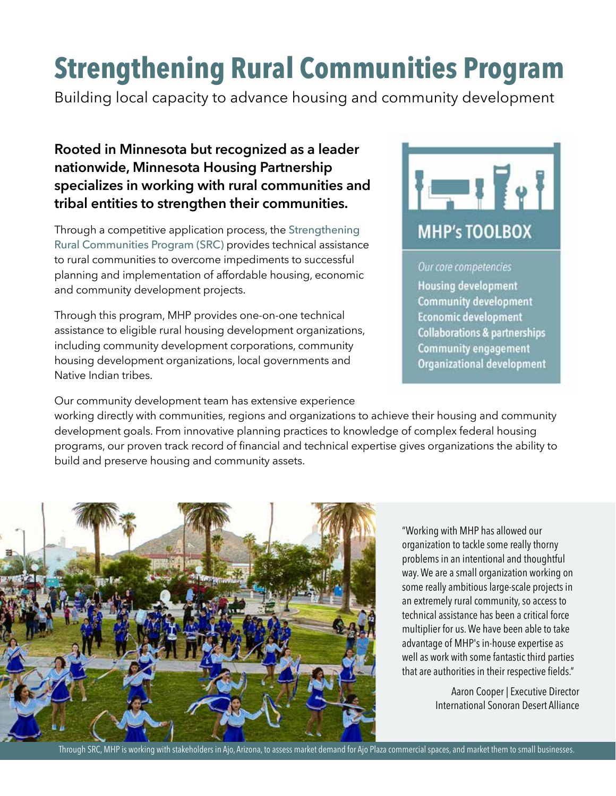# **Strengthening Rural Communities Program**

Building local capacity to advance housing and community development

## **Rooted in Minnesota but recognized as a leader nationwide, Minnesota Housing Partnership specializes in working with rural communities and tribal entities to strengthen their communities.**

Through a competitive application process, the Strengthening Rural Communities Program (SRC) provides technical assistance to rural communities to overcome impediments to successful planning and implementation of affordable housing, economic and community development projects.

Through this program, MHP provides one-on-one technical assistance to eligible rural housing development organizations, including community development corporations, community housing development organizations, local governments and Native Indian tribes.



#### Our core competencies

**Housing development Community development Economic development Collaborations & partnerships Community engagement Organizational development** 

Our community development team has extensive experience working directly with communities, regions and organizations to achieve their housing and community development goals. From innovative planning practices to knowledge of complex federal housing programs, our proven track record of financial and technical expertise gives organizations the ability to build and preserve housing and community assets.



"Working with MHP has allowed our organization to tackle some really thorny problems in an intentional and thoughtful way. We are a small organization working on some really ambitious large-scale projects in an extremely rural community, so access to technical assistance has been a critical force multiplier for us. We have been able to take advantage of MHP's in-house expertise as well as work with some fantastic third parties that are authorities in their respective fields."

> Aaron Cooper | Executive Director International Sonoran Desert Alliance

Through SRC, MHP is working with stakeholders in Ajo, Arizona, to assess market demand for Ajo Plaza commercial spaces, and market them to small businesses.